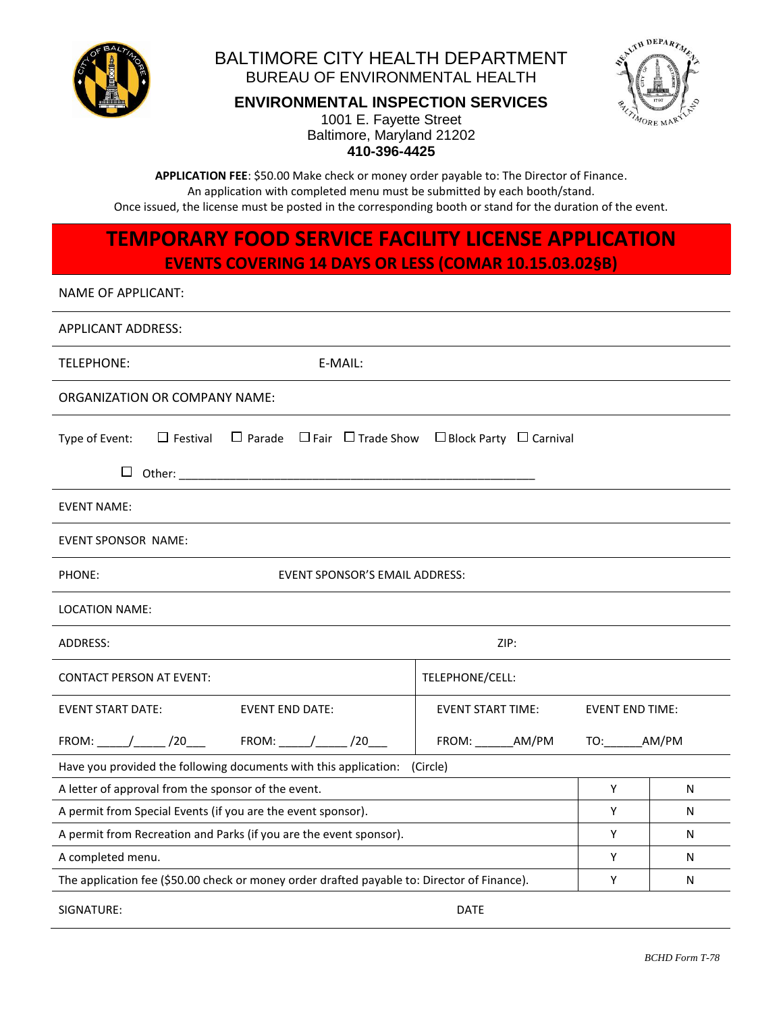

#### BALTIMORE CITY HEALTH DEPARTMENT BUREAU OF ENVIRONMENTAL HEALTH

**ENVIRONMENTAL INSPECTION SERVICES**



**410-396-4425** 1001 E. Fayette Street Baltimore, Maryland 21202

**APPLICATION FEE**: \$50.00 Make check or money order payable to: The Director of Finance. An application with completed menu must be submitted by each booth/stand. Once issued, the license must be posted in the corresponding booth or stand for the duration of the event.

## **TEMPORARY FOOD SERVICE FACILITY LICENSE APPLICATION EVENTS COVERING 14 DAYS OR LESS (COMAR 10.15.03.02§B)**

#### NAME OF APPLICANT:

| <b>APPLICANT ADDRESS:</b>                                                                                           |                                                    |           |   |  |  |
|---------------------------------------------------------------------------------------------------------------------|----------------------------------------------------|-----------|---|--|--|
| <b>TELEPHONE:</b><br>E-MAIL:                                                                                        |                                                    |           |   |  |  |
| ORGANIZATION OR COMPANY NAME:                                                                                       |                                                    |           |   |  |  |
| $\Box$ Parade $\Box$ Fair $\Box$ Trade Show $\Box$ Block Party $\Box$ Carnival<br>$\Box$ Festival<br>Type of Event: |                                                    |           |   |  |  |
| $\Box$                                                                                                              |                                                    |           |   |  |  |
| <b>EVENT NAME:</b>                                                                                                  |                                                    |           |   |  |  |
| <b>EVENT SPONSOR NAME:</b>                                                                                          |                                                    |           |   |  |  |
| <b>EVENT SPONSOR'S EMAIL ADDRESS:</b><br>PHONE:                                                                     |                                                    |           |   |  |  |
| LOCATION NAME:                                                                                                      |                                                    |           |   |  |  |
| ADDRESS:                                                                                                            | ZIP:                                               |           |   |  |  |
| <b>CONTACT PERSON AT EVENT:</b>                                                                                     | TELEPHONE/CELL:                                    |           |   |  |  |
| <b>EVENT START DATE:</b><br><b>EVENT END DATE:</b>                                                                  | <b>EVENT START TIME:</b><br><b>EVENT END TIME:</b> |           |   |  |  |
| FROM: _____/______ /20____   FROM: _____/______ /20___                                                              |                                                    | TO: AM/PM |   |  |  |
| Have you provided the following documents with this application:<br>(Circle)                                        |                                                    |           |   |  |  |
| A letter of approval from the sponsor of the event.                                                                 |                                                    |           | N |  |  |
| A permit from Special Events (if you are the event sponsor).                                                        |                                                    | Y         | N |  |  |
| A permit from Recreation and Parks (if you are the event sponsor).                                                  |                                                    | Y         | N |  |  |
| A completed menu.                                                                                                   |                                                    | Υ         | N |  |  |
| The application fee (\$50.00 check or money order drafted payable to: Director of Finance).                         |                                                    | Y         | N |  |  |
| SIGNATURE:                                                                                                          | <b>DATE</b>                                        |           |   |  |  |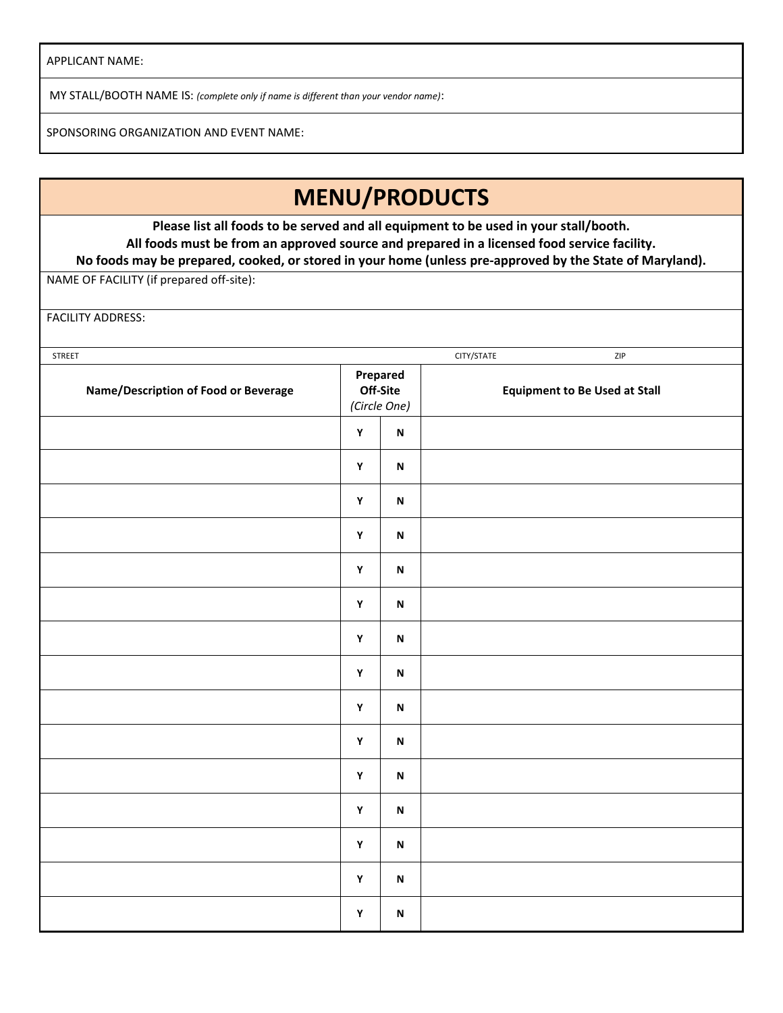APPLICANT NAME:

MY STALL/BOOTH NAME IS: *(complete only if name is different than your vendor name)*:

SPONSORING ORGANIZATION AND EVENT NAME:

# **MENU/PRODUCTS**

**Please list all foods to be served and all equipment to be used in your stall/booth. All foods must be from an approved source and prepared in a licensed food service facility. No foods may be prepared, cooked, or stored in your home (unless pre-approved by the State of Maryland).**

NAME OF FACILITY (if prepared off-site):

FACILITY ADDRESS:

| STREET                                      |                                      |                           | CITY/STATE | ZIP                                  |
|---------------------------------------------|--------------------------------------|---------------------------|------------|--------------------------------------|
| <b>Name/Description of Food or Beverage</b> | Prepared<br>Off-Site<br>(Circle One) |                           |            | <b>Equipment to Be Used at Stall</b> |
|                                             | $\mathbf Y$                          | $\boldsymbol{\mathsf{N}}$ |            |                                      |
|                                             | $\mathbf Y$                          | $\boldsymbol{\mathsf{N}}$ |            |                                      |
|                                             | $\mathbf Y$                          | $\boldsymbol{\mathsf{N}}$ |            |                                      |
|                                             | $\mathbf Y$                          | $\boldsymbol{\mathsf{N}}$ |            |                                      |
|                                             | $\mathbf Y$                          | $\boldsymbol{\mathsf{N}}$ |            |                                      |
|                                             | $\pmb{\mathsf{Y}}$                   | $\boldsymbol{\mathsf{N}}$ |            |                                      |
|                                             | $\mathbf Y$                          | $\boldsymbol{\mathsf{N}}$ |            |                                      |
|                                             | $\mathbf Y$                          | $\boldsymbol{\mathsf{N}}$ |            |                                      |
|                                             | $\mathbf Y$                          | $\boldsymbol{\mathsf{N}}$ |            |                                      |
|                                             | $\mathbf Y$                          | $\boldsymbol{\mathsf{N}}$ |            |                                      |
|                                             | $\mathbf Y$                          | $\boldsymbol{\mathsf{N}}$ |            |                                      |
|                                             | $\mathbf Y$                          | $\boldsymbol{\mathsf{N}}$ |            |                                      |
|                                             | $\mathbf Y$                          | $\boldsymbol{\mathsf{N}}$ |            |                                      |
|                                             | $\mathbf Y$                          | $\boldsymbol{\mathsf{N}}$ |            |                                      |
|                                             | Y                                    | $\boldsymbol{\mathsf{N}}$ |            |                                      |